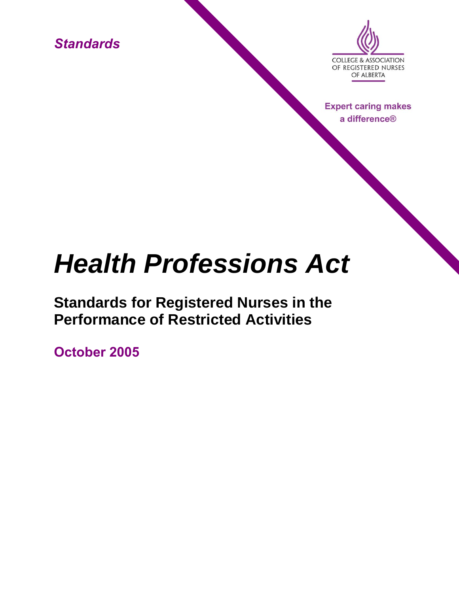*Standards*



**Expert caring makes** a difference®

# *Health Professions Act*

**Standards for Registered Nurses in the Performance of Restricted Activities**

**October 2005**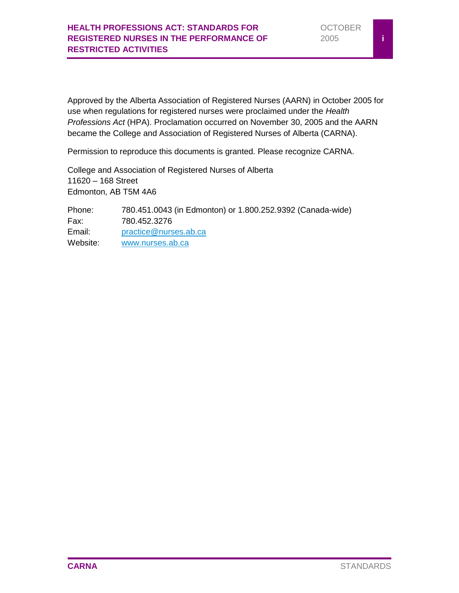Approved by the Alberta Association of Registered Nurses (AARN) in October 2005 for use when regulations for registered nurses were proclaimed under the *Health Professions Act* (HPA). Proclamation occurred on November 30, 2005 and the AARN became the College and Association of Registered Nurses of Alberta (CARNA).

Permission to reproduce this documents is granted. Please recognize CARNA.

College and Association of Registered Nurses of Alberta 11620 – 168 Street Edmonton, AB T5M 4A6

Phone: 780.451.0043 (in Edmonton) or 1.800.252.9392 (Canada-wide) Fax: 780.452.3276 Email: [practice@nurses.ab.ca](mailto:practice@nurses.ab.ca) Website: [www.nurses.ab.ca](http://www.nurses.ab.ca/)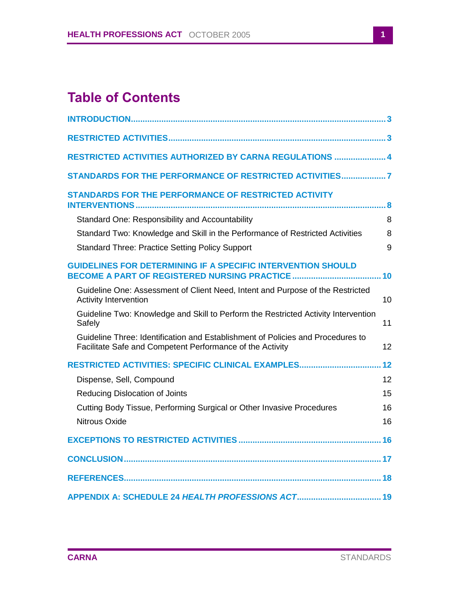# **Table of Contents**

| RESTRICTED ACTIVITIES AUTHORIZED BY CARNA REGULATIONS  4                                                                                     |    |
|----------------------------------------------------------------------------------------------------------------------------------------------|----|
| STANDARDS FOR THE PERFORMANCE OF RESTRICTED ACTIVITIES7                                                                                      |    |
| <b>STANDARDS FOR THE PERFORMANCE OF RESTRICTED ACTIVITY</b>                                                                                  |    |
| Standard One: Responsibility and Accountability                                                                                              | 8  |
| Standard Two: Knowledge and Skill in the Performance of Restricted Activities                                                                | 8  |
| <b>Standard Three: Practice Setting Policy Support</b>                                                                                       | 9  |
| <b>GUIDELINES FOR DETERMINING IF A SPECIFIC INTERVENTION SHOULD</b>                                                                          |    |
| Guideline One: Assessment of Client Need, Intent and Purpose of the Restricted<br><b>Activity Intervention</b>                               | 10 |
| Guideline Two: Knowledge and Skill to Perform the Restricted Activity Intervention<br>Safely                                                 | 11 |
| Guideline Three: Identification and Establishment of Policies and Procedures to<br>Facilitate Safe and Competent Performance of the Activity | 12 |
| RESTRICTED ACTIVITIES: SPECIFIC CLINICAL EXAMPLES                                                                                            | 12 |
| Dispense, Sell, Compound                                                                                                                     | 12 |
| <b>Reducing Dislocation of Joints</b>                                                                                                        | 15 |
| Cutting Body Tissue, Performing Surgical or Other Invasive Procedures                                                                        | 16 |
| <b>Nitrous Oxide</b>                                                                                                                         | 16 |
|                                                                                                                                              |    |
|                                                                                                                                              |    |
|                                                                                                                                              |    |
|                                                                                                                                              |    |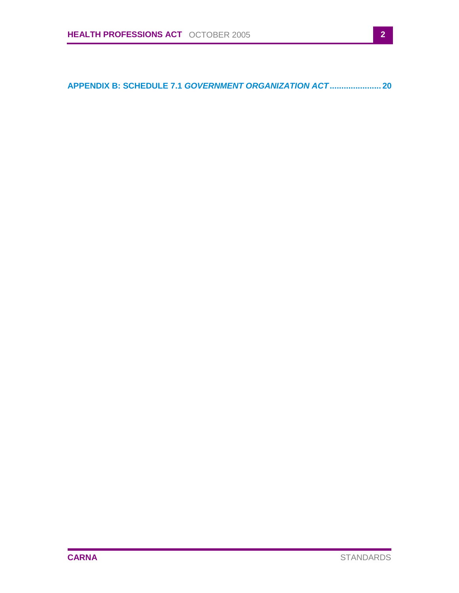**APPENDIX B: SCHEDULE 7.1** *[GOVERNMENT ORGANIZATION ACT](#page-21-0)***...................... 20**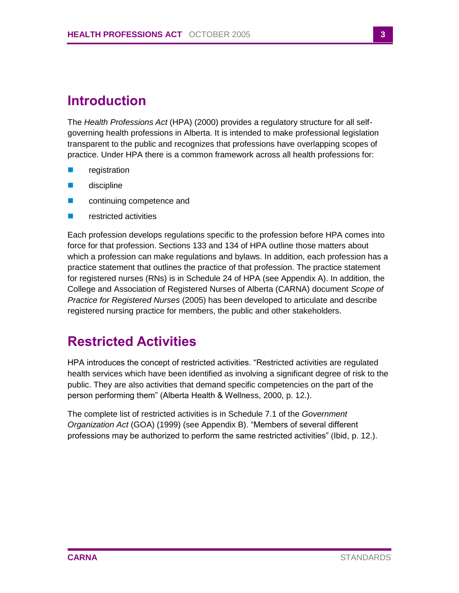# <span id="page-4-0"></span>**Introduction**

The *Health Professions Act* (HPA) (2000) provides a regulatory structure for all selfgoverning health professions in Alberta. It is intended to make professional legislation transparent to the public and recognizes that professions have overlapping scopes of practice. Under HPA there is a common framework across all health professions for:

- registration
- discipline
- **n** continuing competence and
- **F** restricted activities

Each profession develops regulations specific to the profession before HPA comes into force for that profession. Sections 133 and 134 of HPA outline those matters about which a profession can make regulations and bylaws. In addition, each profession has a practice statement that outlines the practice of that profession. The practice statement for registered nurses (RNs) is in Schedule 24 of HPA (see Appendix A). In addition, the College and Association of Registered Nurses of Alberta (CARNA) document *Scope of Practice for Registered Nurses* (2005) has been developed to articulate and describe registered nursing practice for members, the public and other stakeholders.

# <span id="page-4-1"></span>**Restricted Activities**

HPA introduces the concept of restricted activities. "Restricted activities are regulated health services which have been identified as involving a significant degree of risk to the public. They are also activities that demand specific competencies on the part of the person performing them" (Alberta Health & Wellness, 2000, p. 12.).

The complete list of restricted activities is in Schedule 7.1 of the *Government Organization Act* (GOA) (1999) (see Appendix B). "Members of several different professions may be authorized to perform the same restricted activities" (Ibid, p. 12.).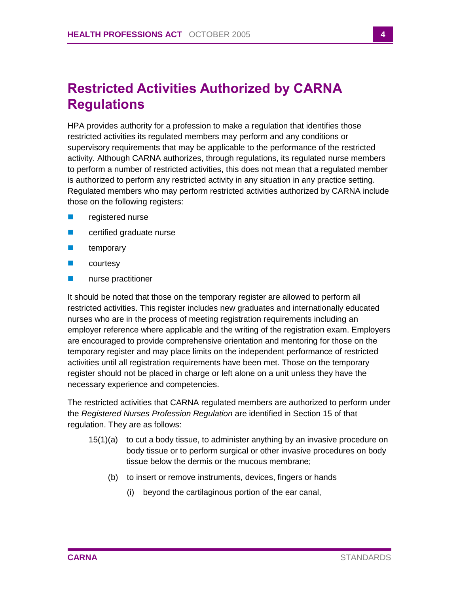# <span id="page-5-0"></span>**Restricted Activities Authorized by CARNA Regulations**

HPA provides authority for a profession to make a regulation that identifies those restricted activities its regulated members may perform and any conditions or supervisory requirements that may be applicable to the performance of the restricted activity. Although CARNA authorizes, through regulations, its regulated nurse members to perform a number of restricted activities, this does not mean that a regulated member is authorized to perform any restricted activity in any situation in any practice setting. Regulated members who may perform restricted activities authorized by CARNA include those on the following registers:

- **Paragele 12 registered nurse**
- **EXECUTE:** certified graduate nurse
- **n** temporary
- courtesy
- **nurse practitioner**

It should be noted that those on the temporary register are allowed to perform all restricted activities. This register includes new graduates and internationally educated nurses who are in the process of meeting registration requirements including an employer reference where applicable and the writing of the registration exam. Employers are encouraged to provide comprehensive orientation and mentoring for those on the temporary register and may place limits on the independent performance of restricted activities until all registration requirements have been met. Those on the temporary register should not be placed in charge or left alone on a unit unless they have the necessary experience and competencies.

The restricted activities that CARNA regulated members are authorized to perform under the *Registered Nurses Profession Regulation* are identified in Section 15 of that regulation. They are as follows:

- 15(1)(a) to cut a body tissue, to administer anything by an invasive procedure on body tissue or to perform surgical or other invasive procedures on body tissue below the dermis or the mucous membrane;
	- (b) to insert or remove instruments, devices, fingers or hands
		- (i) beyond the cartilaginous portion of the ear canal,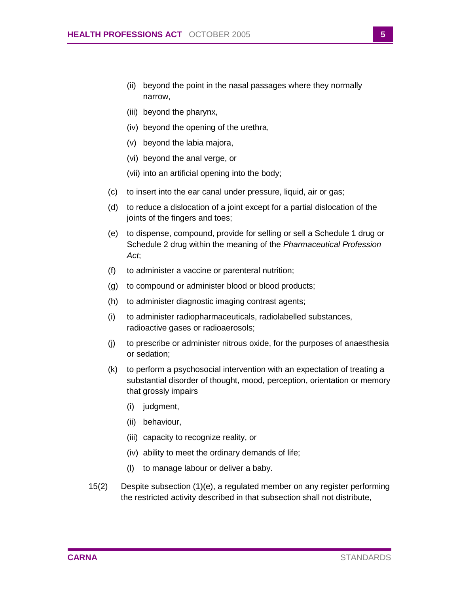- (ii) beyond the point in the nasal passages where they normally narrow,
- (iii) beyond the pharynx,
- (iv) beyond the opening of the urethra,
- (v) beyond the labia majora,
- (vi) beyond the anal verge, or
- (vii) into an artificial opening into the body;
- (c) to insert into the ear canal under pressure, liquid, air or gas;
- (d) to reduce a dislocation of a joint except for a partial dislocation of the joints of the fingers and toes;
- (e) to dispense, compound, provide for selling or sell a Schedule 1 drug or Schedule 2 drug within the meaning of the *Pharmaceutical Profession Act*;
- (f) to administer a vaccine or parenteral nutrition;
- (g) to compound or administer blood or blood products;
- (h) to administer diagnostic imaging contrast agents;
- (i) to administer radiopharmaceuticals, radiolabelled substances, radioactive gases or radioaerosols;
- (j) to prescribe or administer nitrous oxide, for the purposes of anaesthesia or sedation;
- (k) to perform a psychosocial intervention with an expectation of treating a substantial disorder of thought, mood, perception, orientation or memory that grossly impairs
	- (i) judgment,
	- (ii) behaviour,
	- (iii) capacity to recognize reality, or
	- (iv) ability to meet the ordinary demands of life;
	- (l) to manage labour or deliver a baby.
- 15(2) Despite subsection (1)(e), a regulated member on any register performing the restricted activity described in that subsection shall not distribute,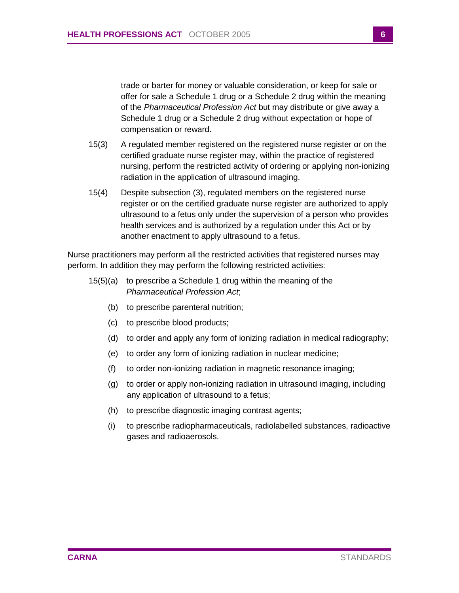trade or barter for money or valuable consideration, or keep for sale or offer for sale a Schedule 1 drug or a Schedule 2 drug within the meaning of the *Pharmaceutical Profession Act* but may distribute or give away a Schedule 1 drug or a Schedule 2 drug without expectation or hope of compensation or reward.

- 15(3) A regulated member registered on the registered nurse register or on the certified graduate nurse register may, within the practice of registered nursing, perform the restricted activity of ordering or applying non-ionizing radiation in the application of ultrasound imaging.
- 15(4) Despite subsection (3), regulated members on the registered nurse register or on the certified graduate nurse register are authorized to apply ultrasound to a fetus only under the supervision of a person who provides health services and is authorized by a regulation under this Act or by another enactment to apply ultrasound to a fetus.

Nurse practitioners may perform all the restricted activities that registered nurses may perform. In addition they may perform the following restricted activities:

- 15(5)(a) to prescribe a Schedule 1 drug within the meaning of the *Pharmaceutical Profession Act*;
	- (b) to prescribe parenteral nutrition;
	- (c) to prescribe blood products;
	- (d) to order and apply any form of ionizing radiation in medical radiography;
	- (e) to order any form of ionizing radiation in nuclear medicine;
	- (f) to order non-ionizing radiation in magnetic resonance imaging;
	- (g) to order or apply non-ionizing radiation in ultrasound imaging, including any application of ultrasound to a fetus;
	- (h) to prescribe diagnostic imaging contrast agents;
	- (i) to prescribe radiopharmaceuticals, radiolabelled substances, radioactive gases and radioaerosols.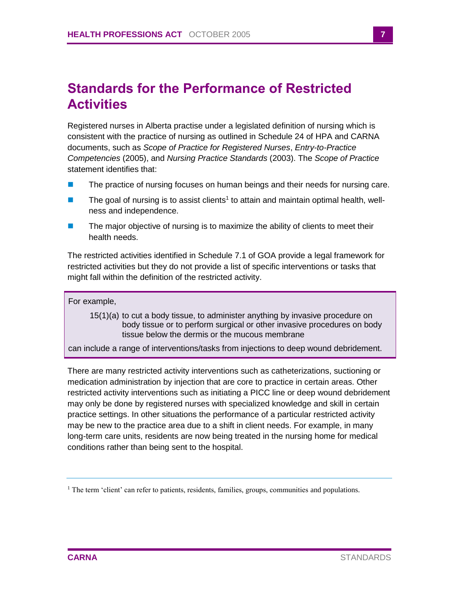# <span id="page-8-0"></span>**Standards for the Performance of Restricted Activities**

Registered nurses in Alberta practise under a legislated definition of nursing which is consistent with the practice of nursing as outlined in Schedule 24 of HPA and CARNA documents, such as *Scope of Practice for Registered Nurses*, *Entry-to-Practice Competencies* (2005), and *Nursing Practice Standards* (2003). The *Scope of Practice*  statement identifies that:

- The practice of nursing focuses on human beings and their needs for nursing care.
- $\blacksquare$  The goal of nursing is to assist clients<sup>1</sup> to attain and maintain optimal health, wellness and independence.
- $\blacksquare$  The major objective of nursing is to maximize the ability of clients to meet their health needs.

The restricted activities identified in Schedule 7.1 of GOA provide a legal framework for restricted activities but they do not provide a list of specific interventions or tasks that might fall within the definition of the restricted activity.

### For example,

15(1)(a) to cut a body tissue, to administer anything by invasive procedure on body tissue or to perform surgical or other invasive procedures on body tissue below the dermis or the mucous membrane

can include a range of interventions/tasks from injections to deep wound debridement.

There are many restricted activity interventions such as catheterizations, suctioning or medication administration by injection that are core to practice in certain areas. Other restricted activity interventions such as initiating a PICC line or deep wound debridement may only be done by registered nurses with specialized knowledge and skill in certain practice settings. In other situations the performance of a particular restricted activity may be new to the practice area due to a shift in client needs. For example, in many long-term care units, residents are now being treated in the nursing home for medical conditions rather than being sent to the hospital.

<sup>&</sup>lt;sup>1</sup> The term 'client' can refer to patients, residents, families, groups, communities and populations.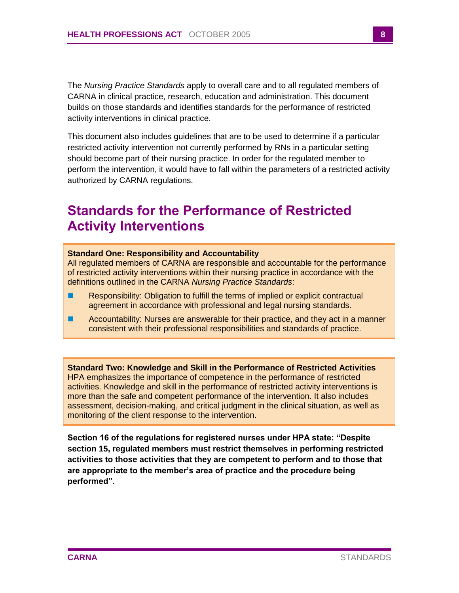The *Nursing Practice Standards* apply to overall care and to all regulated members of CARNA in clinical practice, research, education and administration. This document builds on those standards and identifies standards for the performance of restricted activity interventions in clinical practice.

This document also includes guidelines that are to be used to determine if a particular restricted activity intervention not currently performed by RNs in a particular setting should become part of their nursing practice. In order for the regulated member to perform the intervention, it would have to fall within the parameters of a restricted activity authorized by CARNA regulations.

# <span id="page-9-0"></span>**Standards for the Performance of Restricted Activity Interventions**

### <span id="page-9-1"></span>**Standard One: Responsibility and Accountability**

All regulated members of CARNA are responsible and accountable for the performance of restricted activity interventions within their nursing practice in accordance with the definitions outlined in the CARNA *Nursing Practice Standards*:

- **Responsibility: Obligation to fulfill the terms of implied or explicit contractual** agreement in accordance with professional and legal nursing standards.
- Accountability: Nurses are answerable for their practice, and they act in a manner consistent with their professional responsibilities and standards of practice.

<span id="page-9-2"></span>**Standard Two: Knowledge and Skill in the Performance of Restricted Activities** HPA emphasizes the importance of competence in the performance of restricted activities. Knowledge and skill in the performance of restricted activity interventions is more than the safe and competent performance of the intervention. It also includes assessment, decision-making, and critical judgment in the clinical situation, as well as monitoring of the client response to the intervention.

**Section 16 of the regulations for registered nurses under HPA state: "Despite section 15, regulated members must restrict themselves in performing restricted activities to those activities that they are competent to perform and to those that are appropriate to the member's area of practice and the procedure being performed".**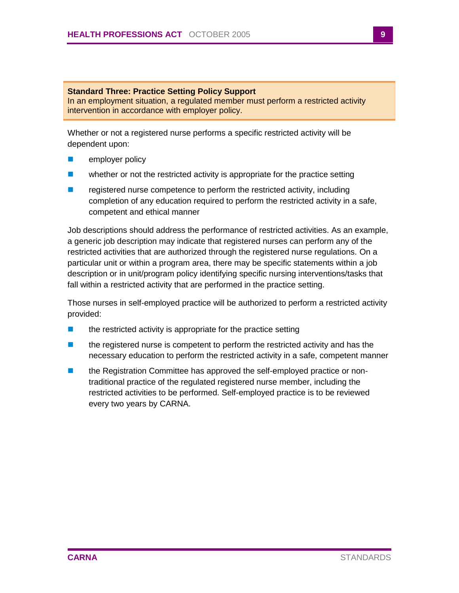### <span id="page-10-0"></span>**Standard Three: Practice Setting Policy Support**

In an employment situation, a regulated member must perform a restricted activity intervention in accordance with employer policy.

Whether or not a registered nurse performs a specific restricted activity will be dependent upon:

- $\blacksquare$  employer policy
- **Number 1** whether or not the restricted activity is appropriate for the practice setting
- **E** registered nurse competence to perform the restricted activity, including completion of any education required to perform the restricted activity in a safe, competent and ethical manner

Job descriptions should address the performance of restricted activities. As an example, a generic job description may indicate that registered nurses can perform any of the restricted activities that are authorized through the registered nurse regulations. On a particular unit or within a program area, there may be specific statements within a job description or in unit/program policy identifying specific nursing interventions/tasks that fall within a restricted activity that are performed in the practice setting.

Those nurses in self-employed practice will be authorized to perform a restricted activity provided:

- $\blacksquare$  the restricted activity is appropriate for the practice setting
- **the registered nurse is competent to perform the restricted activity and has the** necessary education to perform the restricted activity in a safe, competent manner
- **the Registration Committee has approved the self-employed practice or non**traditional practice of the regulated registered nurse member, including the restricted activities to be performed. Self-employed practice is to be reviewed every two years by CARNA.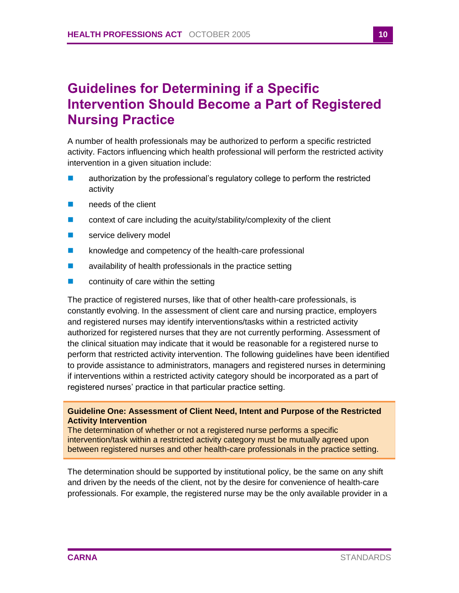# <span id="page-11-0"></span>**Guidelines for Determining if a Specific Intervention Should Become a Part of Registered Nursing Practice**

A number of health professionals may be authorized to perform a specific restricted activity. Factors influencing which health professional will perform the restricted activity intervention in a given situation include:

- **E** authorization by the professional's regulatory college to perform the restricted activity
- **needs of the client**
- **E** context of care including the acuity/stability/complexity of the client
- service delivery model
- **EXECUTE:** knowledge and competency of the health-care professional
- $\blacksquare$  availability of health professionals in the practice setting
- $\blacksquare$  continuity of care within the setting

The practice of registered nurses, like that of other health-care professionals, is constantly evolving. In the assessment of client care and nursing practice, employers and registered nurses may identify interventions/tasks within a restricted activity authorized for registered nurses that they are not currently performing. Assessment of the clinical situation may indicate that it would be reasonable for a registered nurse to perform that restricted activity intervention. The following guidelines have been identified to provide assistance to administrators, managers and registered nurses in determining if interventions within a restricted activity category should be incorporated as a part of registered nurses' practice in that particular practice setting.

### <span id="page-11-1"></span>**Guideline One: Assessment of Client Need, Intent and Purpose of the Restricted Activity Intervention**

The determination of whether or not a registered nurse performs a specific intervention/task within a restricted activity category must be mutually agreed upon between registered nurses and other health-care professionals in the practice setting.

The determination should be supported by institutional policy, be the same on any shift and driven by the needs of the client, not by the desire for convenience of health-care professionals. For example, the registered nurse may be the only available provider in a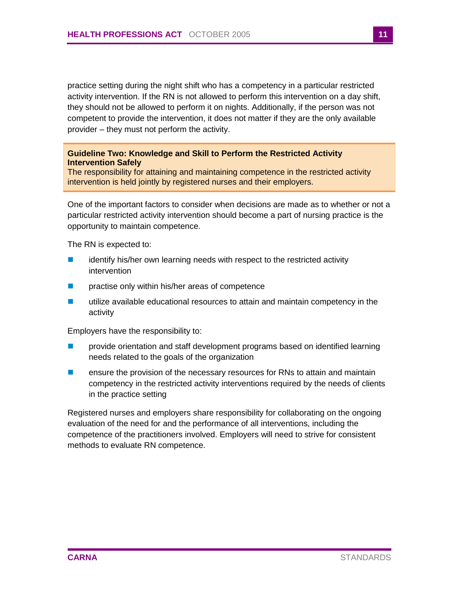practice setting during the night shift who has a competency in a particular restricted activity intervention. If the RN is not allowed to perform this intervention on a day shift, they should not be allowed to perform it on nights. Additionally, if the person was not competent to provide the intervention, it does not matter if they are the only available provider – they must not perform the activity.

### <span id="page-12-0"></span>**Guideline Two: Knowledge and Skill to Perform the Restricted Activity Intervention Safely**

The responsibility for attaining and maintaining competence in the restricted activity intervention is held jointly by registered nurses and their employers.

One of the important factors to consider when decisions are made as to whether or not a particular restricted activity intervention should become a part of nursing practice is the opportunity to maintain competence.

The RN is expected to:

- **E** identify his/her own learning needs with respect to the restricted activity intervention
- **Paractise only within his/her areas of competence**
- utilize available educational resources to attain and maintain competency in the activity

Employers have the responsibility to:

- **Part** provide orientation and staff development programs based on identified learning needs related to the goals of the organization
- **E** ensure the provision of the necessary resources for RNs to attain and maintain competency in the restricted activity interventions required by the needs of clients in the practice setting

Registered nurses and employers share responsibility for collaborating on the ongoing evaluation of the need for and the performance of all interventions, including the competence of the practitioners involved. Employers will need to strive for consistent methods to evaluate RN competence.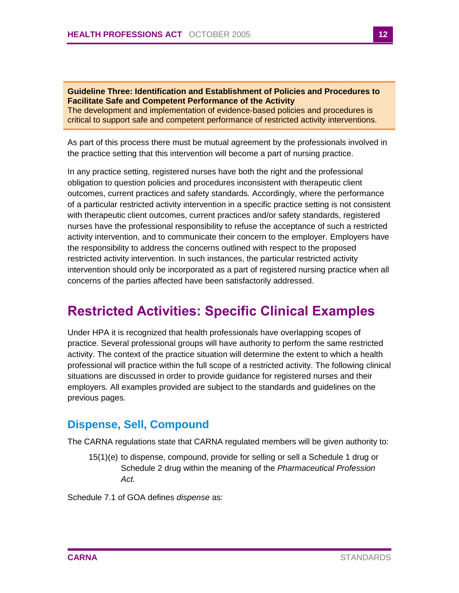<span id="page-13-0"></span>**Guideline Three: Identification and Establishment of Policies and Procedures to Facilitate Safe and Competent Performance of the Activity** The development and implementation of evidence-based policies and procedures is critical to support safe and competent performance of restricted activity interventions.

As part of this process there must be mutual agreement by the professionals involved in the practice setting that this intervention will become a part of nursing practice.

In any practice setting, registered nurses have both the right and the professional obligation to question policies and procedures inconsistent with therapeutic client outcomes, current practices and safety standards. Accordingly, where the performance of a particular restricted activity intervention in a specific practice setting is not consistent with therapeutic client outcomes, current practices and/or safety standards, registered nurses have the professional responsibility to refuse the acceptance of such a restricted activity intervention, and to communicate their concern to the employer. Employers have the responsibility to address the concerns outlined with respect to the proposed restricted activity intervention. In such instances, the particular restricted activity intervention should only be incorporated as a part of registered nursing practice when all concerns of the parties affected have been satisfactorily addressed.

# <span id="page-13-1"></span>**Restricted Activities: Specific Clinical Examples**

Under HPA it is recognized that health professionals have overlapping scopes of practice. Several professional groups will have authority to perform the same restricted activity. The context of the practice situation will determine the extent to which a health professional will practice within the full scope of a restricted activity. The following clinical situations are discussed in order to provide guidance for registered nurses and their employers. All examples provided are subject to the standards and guidelines on the previous pages.

### <span id="page-13-2"></span>**Dispense, Sell, Compound**

The CARNA regulations state that CARNA regulated members will be given authority to:

15(1)(e) to dispense, compound, provide for selling or sell a Schedule 1 drug or Schedule 2 drug within the meaning of the *Pharmaceutical Profession Act.*

Schedule 7.1 of GOA defines *dispense* as: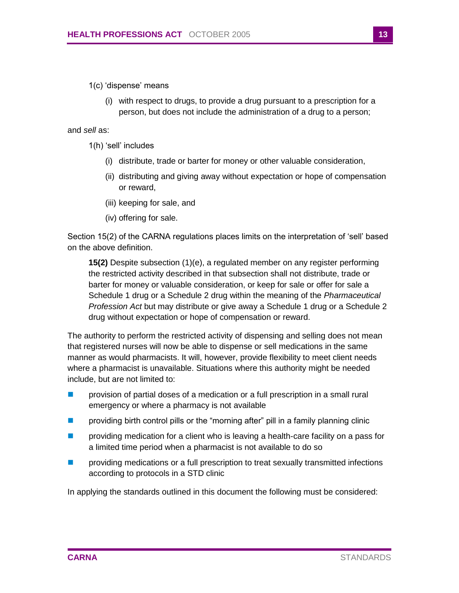1(c) 'dispense' means

(i) with respect to drugs, to provide a drug pursuant to a prescription for a person, but does not include the administration of a drug to a person;

and *sell* as:

- 1(h) 'sell' includes
	- (i) distribute, trade or barter for money or other valuable consideration,
	- (ii) distributing and giving away without expectation or hope of compensation or reward,
	- (iii) keeping for sale, and
	- (iv) offering for sale.

Section 15(2) of the CARNA regulations places limits on the interpretation of 'sell' based on the above definition.

**15(2)** Despite subsection (1)(e), a regulated member on any register performing the restricted activity described in that subsection shall not distribute, trade or barter for money or valuable consideration, or keep for sale or offer for sale a Schedule 1 drug or a Schedule 2 drug within the meaning of the *Pharmaceutical Profession Act* but may distribute or give away a Schedule 1 drug or a Schedule 2 drug without expectation or hope of compensation or reward.

The authority to perform the restricted activity of dispensing and selling does not mean that registered nurses will now be able to dispense or sell medications in the same manner as would pharmacists. It will, however, provide flexibility to meet client needs where a pharmacist is unavailable. Situations where this authority might be needed include, but are not limited to:

- **Particle 1** provision of partial doses of a medication or a full prescription in a small rural emergency or where a pharmacy is not available
- **Part in the providing birth control pills or the "morning after" pill in a family planning clinic**
- **Parther** providing medication for a client who is leaving a health-care facility on a pass for a limited time period when a pharmacist is not available to do so
- **Part** providing medications or a full prescription to treat sexually transmitted infections according to protocols in a STD clinic

In applying the standards outlined in this document the following must be considered: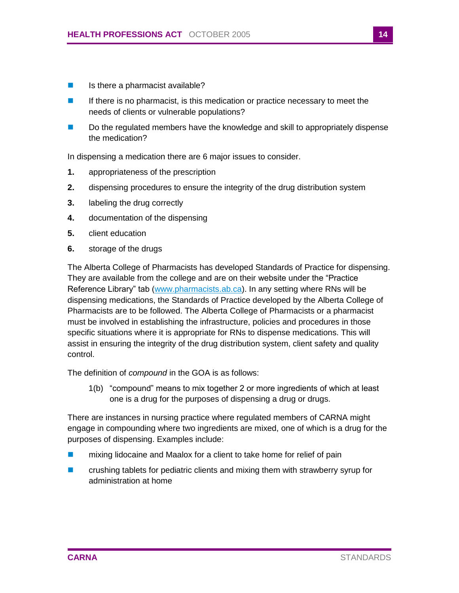- Is there a pharmacist available?
- If there is no pharmacist, is this medication or practice necessary to meet the needs of clients or vulnerable populations?
- Do the regulated members have the knowledge and skill to appropriately dispense the medication?

In dispensing a medication there are 6 major issues to consider.

- **1.** appropriateness of the prescription
- **2.** dispensing procedures to ensure the integrity of the drug distribution system
- **3.** labeling the drug correctly
- **4.** documentation of the dispensing
- **5.** client education
- **6.** storage of the drugs

The Alberta College of Pharmacists has developed Standards of Practice for dispensing. They are available from the college and are on their website under the "Practice Reference Library" tab [\(www.pharmacists.ab.ca\)](http://www.pharmacists.ab.ca/). In any setting where RNs will be dispensing medications, the Standards of Practice developed by the Alberta College of Pharmacists are to be followed. The Alberta College of Pharmacists or a pharmacist must be involved in establishing the infrastructure, policies and procedures in those specific situations where it is appropriate for RNs to dispense medications. This will assist in ensuring the integrity of the drug distribution system, client safety and quality control.

The definition of *compound* in the GOA is as follows:

1(b) "compound" means to mix together 2 or more ingredients of which at least one is a drug for the purposes of dispensing a drug or drugs.

There are instances in nursing practice where regulated members of CARNA might engage in compounding where two ingredients are mixed, one of which is a drug for the purposes of dispensing. Examples include:

- mixing lidocaine and Maalox for a client to take home for relief of pain
- **E** crushing tablets for pediatric clients and mixing them with strawberry syrup for administration at home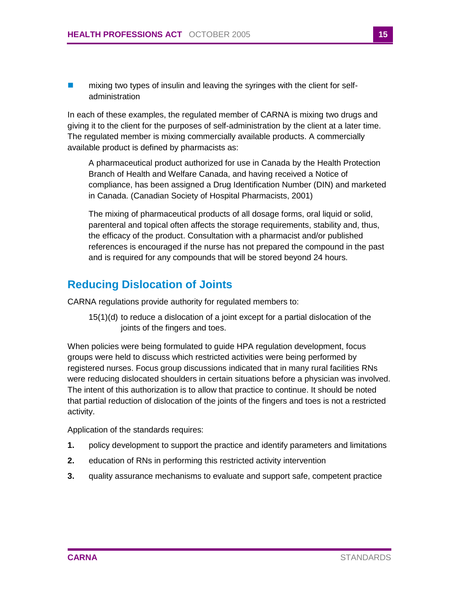**numixing two types of insulin and leaving the syringes with the client for self**administration

In each of these examples, the regulated member of CARNA is mixing two drugs and giving it to the client for the purposes of self-administration by the client at a later time. The regulated member is mixing commercially available products. A commercially available product is defined by pharmacists as:

A pharmaceutical product authorized for use in Canada by the Health Protection Branch of Health and Welfare Canada, and having received a Notice of compliance, has been assigned a Drug Identification Number (DIN) and marketed in Canada. (Canadian Society of Hospital Pharmacists, 2001)

The mixing of pharmaceutical products of all dosage forms, oral liquid or solid, parenteral and topical often affects the storage requirements, stability and, thus, the efficacy of the product. Consultation with a pharmacist and/or published references is encouraged if the nurse has not prepared the compound in the past and is required for any compounds that will be stored beyond 24 hours.

### <span id="page-16-0"></span>**Reducing Dislocation of Joints**

CARNA regulations provide authority for regulated members to:

15(1)(d) to reduce a dislocation of a joint except for a partial dislocation of the joints of the fingers and toes.

When policies were being formulated to guide HPA regulation development, focus groups were held to discuss which restricted activities were being performed by registered nurses. Focus group discussions indicated that in many rural facilities RNs were reducing dislocated shoulders in certain situations before a physician was involved. The intent of this authorization is to allow that practice to continue. It should be noted that partial reduction of dislocation of the joints of the fingers and toes is not a restricted activity.

Application of the standards requires:

- **1.** policy development to support the practice and identify parameters and limitations
- **2.** education of RNs in performing this restricted activity intervention
- **3.** quality assurance mechanisms to evaluate and support safe, competent practice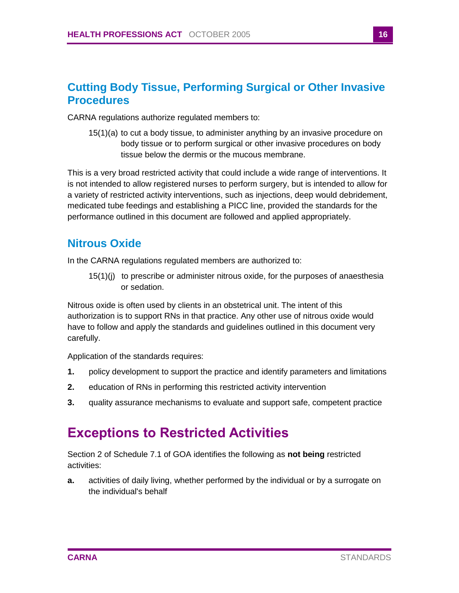### <span id="page-17-0"></span>**Cutting Body Tissue, Performing Surgical or Other Invasive Procedures**

CARNA regulations authorize regulated members to:

15(1)(a) to cut a body tissue, to administer anything by an invasive procedure on body tissue or to perform surgical or other invasive procedures on body tissue below the dermis or the mucous membrane.

This is a very broad restricted activity that could include a wide range of interventions. It is not intended to allow registered nurses to perform surgery, but is intended to allow for a variety of restricted activity interventions, such as injections, deep would debridement, medicated tube feedings and establishing a PICC line, provided the standards for the performance outlined in this document are followed and applied appropriately.

### <span id="page-17-1"></span>**Nitrous Oxide**

In the CARNA regulations regulated members are authorized to:

15(1)(j) to prescribe or administer nitrous oxide, for the purposes of anaesthesia or sedation.

Nitrous oxide is often used by clients in an obstetrical unit. The intent of this authorization is to support RNs in that practice. Any other use of nitrous oxide would have to follow and apply the standards and guidelines outlined in this document very carefully.

Application of the standards requires:

- **1.** policy development to support the practice and identify parameters and limitations
- **2.** education of RNs in performing this restricted activity intervention
- **3.** quality assurance mechanisms to evaluate and support safe, competent practice

# <span id="page-17-2"></span>**Exceptions to Restricted Activities**

Section 2 of Schedule 7.1 of GOA identifies the following as **not being** restricted activities:

**a.** activities of daily living, whether performed by the individual or by a surrogate on the individual's behalf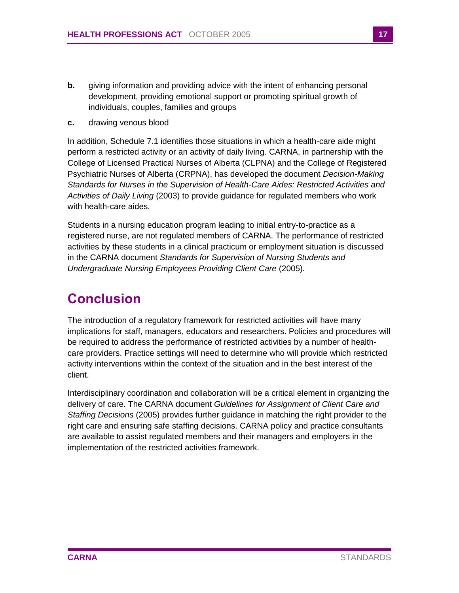- **b.** giving information and providing advice with the intent of enhancing personal development, providing emotional support or promoting spiritual growth of individuals, couples, families and groups
- **c.** drawing venous blood

In addition, Schedule 7.1 identifies those situations in which a health-care aide might perform a restricted activity or an activity of daily living. CARNA, in partnership with the College of Licensed Practical Nurses of Alberta (CLPNA) and the College of Registered Psychiatric Nurses of Alberta (CRPNA), has developed the document *Decision-Making Standards for Nurses in the Supervision of Health-Care Aides: Restricted Activities and Activities of Daily Living* (2003) to provide guidance for regulated members who work with health-care aides.

Students in a nursing education program leading to initial entry-to-practice as a registered nurse, are not regulated members of CARNA. The performance of restricted activities by these students in a clinical practicum or employment situation is discussed in the CARNA document *Standards for Supervision of Nursing Students and Undergraduate Nursing Employees Providing Client Care* (2005)*.*

# <span id="page-18-0"></span>**Conclusion**

The introduction of a regulatory framework for restricted activities will have many implications for staff, managers, educators and researchers. Policies and procedures will be required to address the performance of restricted activities by a number of healthcare providers. Practice settings will need to determine who will provide which restricted activity interventions within the context of the situation and in the best interest of the client.

Interdisciplinary coordination and collaboration will be a critical element in organizing the delivery of care. The CARNA document *Guidelines for Assignment of Client Care and Staffing Decisions* (2005) provides further guidance in matching the right provider to the right care and ensuring safe staffing decisions. CARNA policy and practice consultants are available to assist regulated members and their managers and employers in the implementation of the restricted activities framework.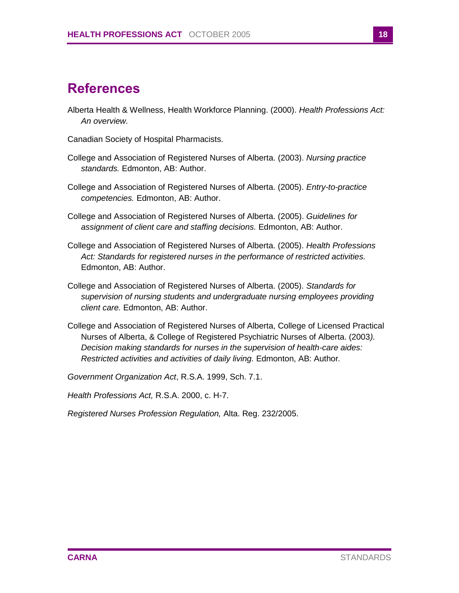# <span id="page-19-0"></span>**References**

- Alberta Health & Wellness, Health Workforce Planning. (2000). *Health Professions Act: An overview.*
- Canadian Society of Hospital Pharmacists.
- College and Association of Registered Nurses of Alberta. (2003). *Nursing practice standards.* Edmonton, AB: Author.
- College and Association of Registered Nurses of Alberta. (2005). *Entry-to-practice competencies.* Edmonton, AB: Author.
- College and Association of Registered Nurses of Alberta. (2005). *Guidelines for assignment of client care and staffing decisions.* Edmonton, AB: Author.
- College and Association of Registered Nurses of Alberta. (2005). *Health Professions Act: Standards for registered nurses in the performance of restricted activities.* Edmonton, AB: Author.
- College and Association of Registered Nurses of Alberta. (2005). *Standards for supervision of nursing students and undergraduate nursing employees providing client care.* Edmonton, AB: Author.
- College and Association of Registered Nurses of Alberta, College of Licensed Practical Nurses of Alberta, & College of Registered Psychiatric Nurses of Alberta. (2003*). Decision making standards for nurses in the supervision of health-care aides: Restricted activities and activities of daily living.* Edmonton, AB: Author*.*
- *Government Organization Act*, R.S.A. 1999, Sch. 7.1.

*Health Professions Act,* R.S.A. 2000, c. H-7.

*Registered Nurses Profession Regulation,* Alta. Reg. 232/2005.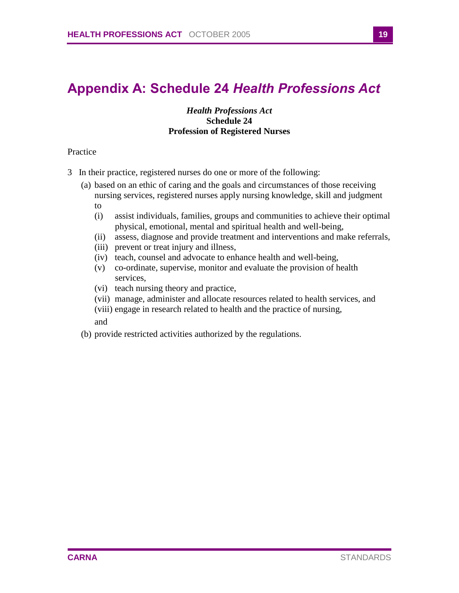# <span id="page-20-0"></span>**Appendix A: Schedule 24** *Health Professions Act*

### *Health Professions Act*  **Schedule 24 Profession of Registered Nurses**

### Practice

- 3 In their practice, registered nurses do one or more of the following:
	- (a) based on an ethic of caring and the goals and circumstances of those receiving nursing services, registered nurses apply nursing knowledge, skill and judgment to
		- (i) assist individuals, families, groups and communities to achieve their optimal physical, emotional, mental and spiritual health and well-being,
		- (ii) assess, diagnose and provide treatment and interventions and make referrals,
		- (iii) prevent or treat injury and illness,
		- (iv) teach, counsel and advocate to enhance health and well-being,
		- (v) co-ordinate, supervise, monitor and evaluate the provision of health services,
		- (vi) teach nursing theory and practice,
		- (vii) manage, administer and allocate resources related to health services, and
		- (viii) engage in research related to health and the practice of nursing,
		- and
	- (b) provide restricted activities authorized by the regulations.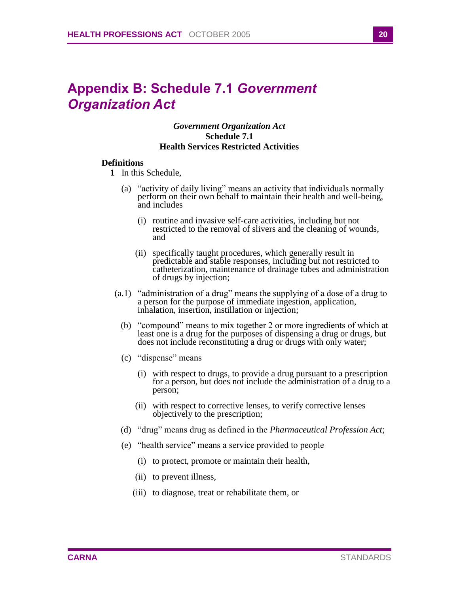# <span id="page-21-0"></span>**Appendix B: Schedule 7.1** *Government Organization Act*

### *Government Organization Act* **Schedule 7.1 Health Services Restricted Activities**

### **Definitions**

- **1** In this Schedule,
	- (a) "activity of daily living" means an activity that individuals normally perform on their own behalf to maintain their health and well-being, and includes
		- (i) routine and invasive self-care activities, including but not restricted to the removal of slivers and the cleaning of wounds, and
		- (ii) specifically taught procedures, which generally result in predictable and stable responses, including but not restricted to catheterization, maintenance of drainage tubes and administration of drugs by injection;
- (a.1) "administration of a drug" means the supplying of a dose of a drug to a person for the purpose of immediate ingestion, application, inhalation, insertion, instillation or injection;
	- (b) "compound" means to mix together 2 or more ingredients of which at least one is a drug for the purposes of dispensing a drug or drugs, but does not include reconstituting a drug or drugs with only water;
	- (c) "dispense" means
		- (i) with respect to drugs, to provide a drug pursuant to a prescription for a person, but does not include the administration of a drug to a person;
		- (ii) with respect to corrective lenses, to verify corrective lenses objectively to the prescription;
	- (d) "drug" means drug as defined in the *Pharmaceutical Profession Act*;
	- (e) "health service" means a service provided to people
		- (i) to protect, promote or maintain their health,
		- (ii) to prevent illness,
		- (iii) to diagnose, treat or rehabilitate them, or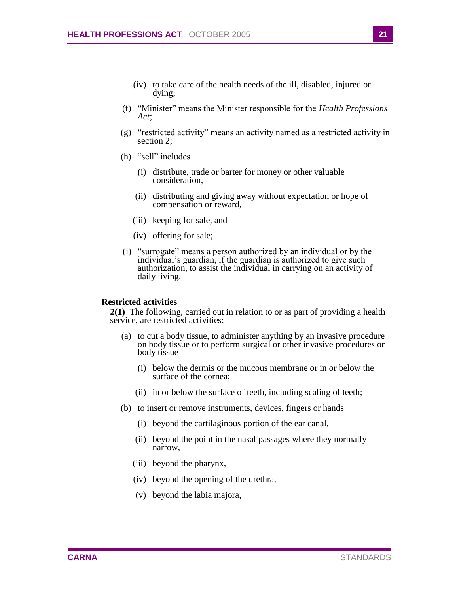- (iv) to take care of the health needs of the ill, disabled, injured or dying;
- (f) "Minister" means the Minister responsible for the *Health Professions Act*;
- (g) "restricted activity" means an activity named as a restricted activity in section 2;
- (h) "sell" includes
	- (i) distribute, trade or barter for money or other valuable consideration,
	- (ii) distributing and giving away without expectation or hope of compensation or reward,
	- (iii) keeping for sale, and
	- (iv) offering for sale;
- (i) "surrogate" means a person authorized by an individual or by the individual's guardian, if the guardian is authorized to give such authorization, to assist the individual in carrying on an activity of daily living.

#### **Restricted activities**

**2(1)** The following, carried out in relation to or as part of providing a health service, are restricted activities:

- (a) to cut a body tissue, to administer anything by an invasive procedure on body tissue or to perform surgical or other invasive procedures on body tissue
	- (i) below the dermis or the mucous membrane or in or below the surface of the cornea;
	- (ii) in or below the surface of teeth, including scaling of teeth;
- (b) to insert or remove instruments, devices, fingers or hands
	- (i) beyond the cartilaginous portion of the ear canal,
	- (ii) beyond the point in the nasal passages where they normally narrow,
	- (iii) beyond the pharynx,
	- (iv) beyond the opening of the urethra,
	- (v) beyond the labia majora,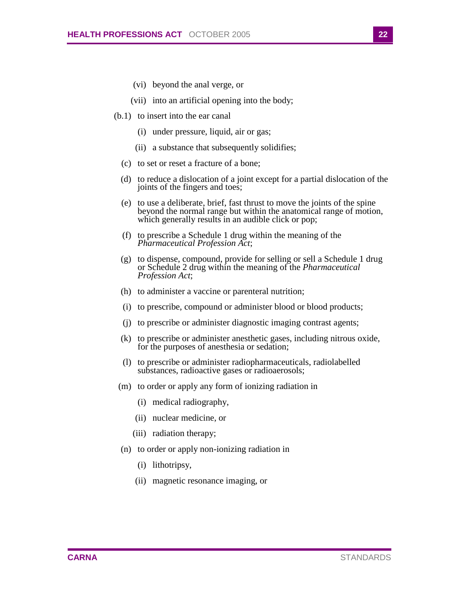- (vi) beyond the anal verge, or
- (vii) into an artificial opening into the body;
- (b.1) to insert into the ear canal
	- (i) under pressure, liquid, air or gas;
	- (ii) a substance that subsequently solidifies;
	- (c) to set or reset a fracture of a bone;
	- (d) to reduce a dislocation of a joint except for a partial dislocation of the joints of the fingers and toes;
	- (e) to use a deliberate, brief, fast thrust to move the joints of the spine beyond the normal range but within the anatomical range of motion, which generally results in an audible click or pop;
	- (f) to prescribe a Schedule 1 drug within the meaning of the *Pharmaceutical Profession Act*;
	- (g) to dispense, compound, provide for selling or sell a Schedule 1 drug or Schedule 2 drug within the meaning of the *Pharmaceutical Profession Act*;
	- (h) to administer a vaccine or parenteral nutrition;
	- (i) to prescribe, compound or administer blood or blood products;
	- (j) to prescribe or administer diagnostic imaging contrast agents;
	- (k) to prescribe or administer anesthetic gases, including nitrous oxide, for the purposes of anesthesia or sedation;
	- (l) to prescribe or administer radiopharmaceuticals, radiolabelled substances, radioactive gases or radioaerosols;
	- (m) to order or apply any form of ionizing radiation in
		- (i) medical radiography,
		- (ii) nuclear medicine, or
		- (iii) radiation therapy;
	- (n) to order or apply non-ionizing radiation in
		- (i) lithotripsy,
		- (ii) magnetic resonance imaging, or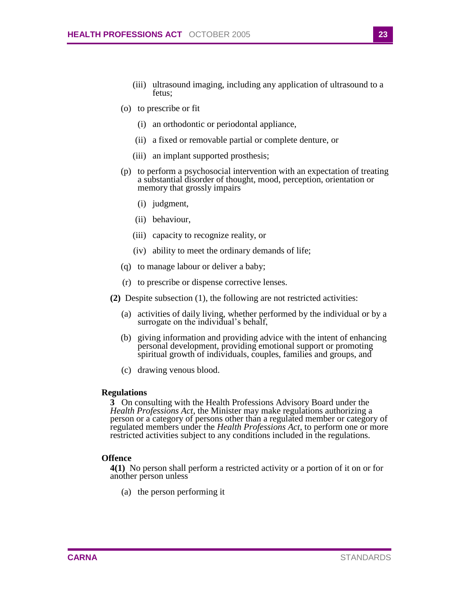- (iii) ultrasound imaging, including any application of ultrasound to a fetus;
- (o) to prescribe or fit
	- (i) an orthodontic or periodontal appliance,
	- (ii) a fixed or removable partial or complete denture, or
	- (iii) an implant supported prosthesis;
- (p) to perform a psychosocial intervention with an expectation of treating a substantial disorder of thought, mood, perception, orientation or memory that grossly impairs
	- (i) judgment,
	- (ii) behaviour,
	- (iii) capacity to recognize reality, or
	- (iv) ability to meet the ordinary demands of life;
- (q) to manage labour or deliver a baby;
- (r) to prescribe or dispense corrective lenses.
- **(2)** Despite subsection (1), the following are not restricted activities:
	- (a) activities of daily living, whether performed by the individual or by a surrogate on the individual's behalf,
	- (b) giving information and providing advice with the intent of enhancing personal development, providing emotional support or promoting spiritual growth of individuals, couples, families and groups, and
	- (c) drawing venous blood.

#### **Regulations**

**3** On consulting with the Health Professions Advisory Board under the *Health Professions Act*, the Minister may make regulations authorizing a person or a category of persons other than a regulated member or category of regulated members under the *Health Professions Act*, to perform one or more restricted activities subject to any conditions included in the regulations.

#### **Offence**

**4(1)** No person shall perform a restricted activity or a portion of it on or for another person unless

(a) the person performing it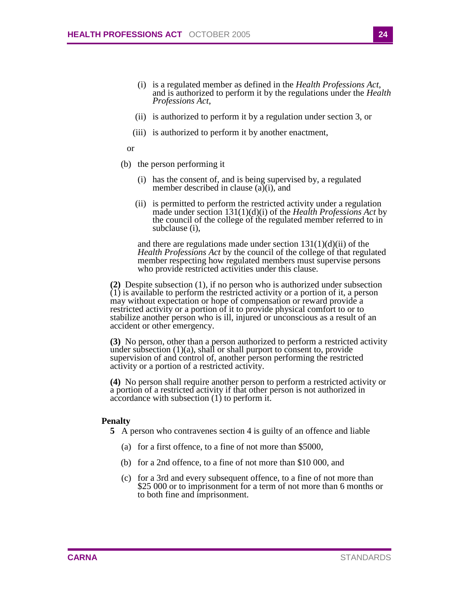- (i) is a regulated member as defined in the *Health Professions Act*, and is authorized to perform it by the regulations under the *Health Professions Act*,
- (ii) is authorized to perform it by a regulation under section 3, or
- (iii) is authorized to perform it by another enactment,
- or
- (b) the person performing it
	- (i) has the consent of, and is being supervised by, a regulated member described in clause (a)(i), and
	- (ii) is permitted to perform the restricted activity under a regulation made under section 131(1)(d)(i) of the *Health Professions Act* by the council of the college of the regulated member referred to in subclause (i),

and there are regulations made under section  $131(1)(d)(ii)$  of the *Health Professions Act* by the council of the college of that regulated member respecting how regulated members must supervise persons who provide restricted activities under this clause.

**(2)** Despite subsection (1), if no person who is authorized under subsection (1) is available to perform the restricted activity or a portion of it, a person may without expectation or hope of compensation or reward provide a restricted activity or a portion of it to provide physical comfort to or to stabilize another person who is ill, injured or unconscious as a result of an accident or other emergency.

**(3)** No person, other than a person authorized to perform a restricted activity under subsection  $(1)(a)$ , shall or shall purport to consent to, provide supervision of and control of, another person performing the restricted activity or a portion of a restricted activity.

**(4)** No person shall require another person to perform a restricted activity or a portion of a restricted activity if that other person is not authorized in accordance with subsection (1) to perform it.

### **Penalty**

- **5** A person who contravenes section 4 is guilty of an offence and liable
	- (a) for a first offence, to a fine of not more than \$5000,
	- (b) for a 2nd offence, to a fine of not more than \$10 000, and
	- (c) for a 3rd and every subsequent offence, to a fine of not more than \$25 000 or to imprisonment for a term of not more than 6 months or to both fine and imprisonment.